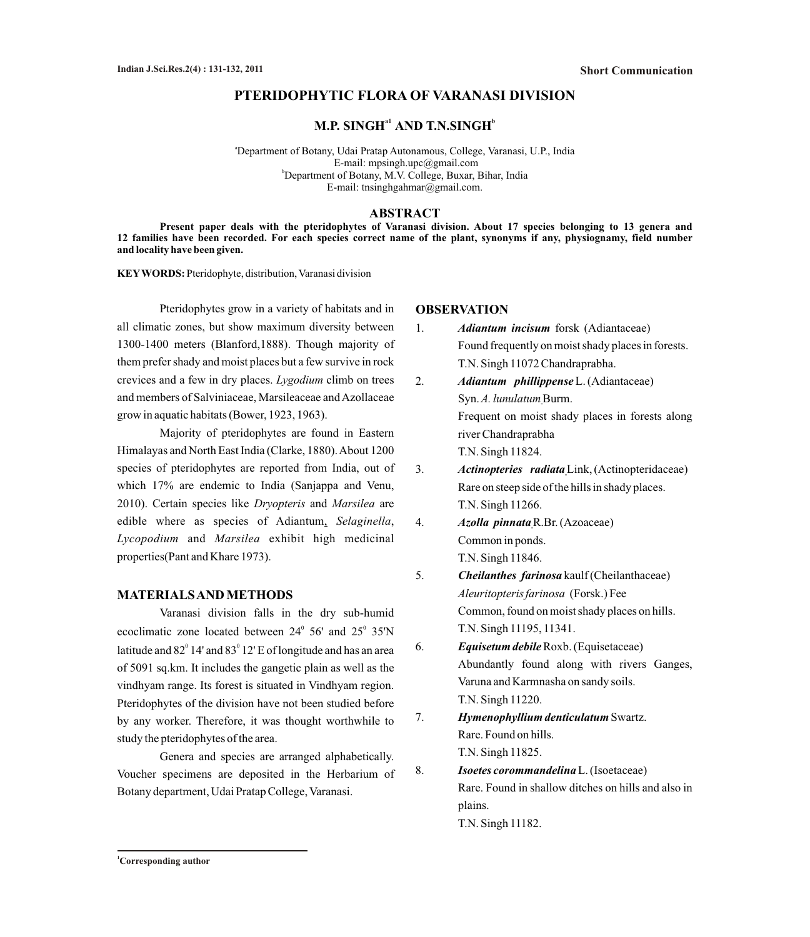# **PTERIDOPHYTIC FLORA OF VARANASI DIVISION**

 $\mathbf{M}.\mathbf{P}.\mathbf{SINGH}^{\mathrm{a1}}\mathbf{AND}.\mathbf{T}.\mathbf{N}.\mathbf{SINGH}^{\mathrm{b}}$ 

<sup>a</sup>Department of Botany, Udai Pratap Autonamous, College, Varanasi, U.P., India E-mail: mpsingh.upc@gmail.com <sup>b</sup>Department of Botany, M.V. College, Buxar, Bihar, India E-mail: tnsinghgahmar@gmail.com.

### **ABSTRACT**

**Present paper deals with the pteridophytes of Varanasi division. About 17 species belonging to 13 genera and 12 families have been recorded. For each species correct name of the plant, synonyms if any, physiognamy, field number and locality have been given.** 

**KEYWORDS:** Pteridophyte, distribution, Varanasi division

Pteridophytes grow in a variety of habitats and in all climatic zones, but show maximum diversity between 1300-1400 meters (Blanford,1888). Though majority of them prefer shady and moist places but a few survive in rock crevices and a few in dry places. *Lygodium* climb on trees and members of Salviniaceae, Marsileaceae and Azollaceae grow in aquatic habitats (Bower, 1923, 1963).

Majority of pteridophytes are found in Eastern Himalayas and North East India (Clarke, 1880). About 1200 species of pteridophytes are reported from India, out of which 17% are endemic to India (Sanjappa and Venu, 2010). Certain species like *Dryopteris* and *Marsilea* are edible where as species of Adiantum, *Selaginella*, *Lycopodium* and *Marsilea* exhibit high medicinal properties(Pant and Khare 1973).

### **MATERIALS AND METHODS**

Varanasi division falls in the dry sub-humid ecoclimatic zone located between  $24^{\circ}$  56' and  $25^{\circ}$  35'N latitude and  $82^{\circ}$  14' and  $83^{\circ}$  12' E of longitude and has an area of 5091 sq.km. It includes the gangetic plain as well as the vindhyam range. Its forest is situated in Vindhyam region. Pteridophytes of the division have not been studied before by any worker. Therefore, it was thought worthwhile to study the pteridophytes of the area.

Genera and species are arranged alphabetically. Voucher specimens are deposited in the Herbarium of Botany department, Udai Pratap College, Varanasi.

#### **OBSERVATION**

- 1. *Adiantum incisum* forsk(Adiantaceae) Found frequently on moist shady places in forests. T.N. Singh 11072 Chandraprabha.
- 2. *Adiantum phillippense*L. (Adiantaceae) Syn.*A. lunulatum* Burm. Frequent on moist shady places in forests along river Chandraprabha T.N. Singh 11824.
- 3. *Actinopteries radiata*Link,(Actinopteridaceae) Rare on steep side of the hills in shady places. T.N. Singh 11266.
- 4. *Azolla pinnata*R.Br. (Azoaceae) Common in ponds. T.N. Singh 11846.
- 5. *Cheilanthes farinosa* kaulf (Cheilanthaceae) *Aleuritopteris farinosa* (Forsk.) Fee Common, found on moist shady places on hills. T.N. Singh 11195, 11341.
- 6. *Equisetum debile*Roxb. (Equisetaceae) Abundantly found along with rivers Ganges, Varuna and Karmnasha on sandy soils. T.N. Singh 11220.
- 7. *Hymenophyllium denticulatum*Swartz. Rare. Found on hills. T.N. Singh 11825.
- 8. *Isoetes corommandelina*L. (Isoetaceae) Rare. Found in shallow ditches on hills and also in plains. T.N. Singh 11182.

**<sup>1</sup>Corresponding author**